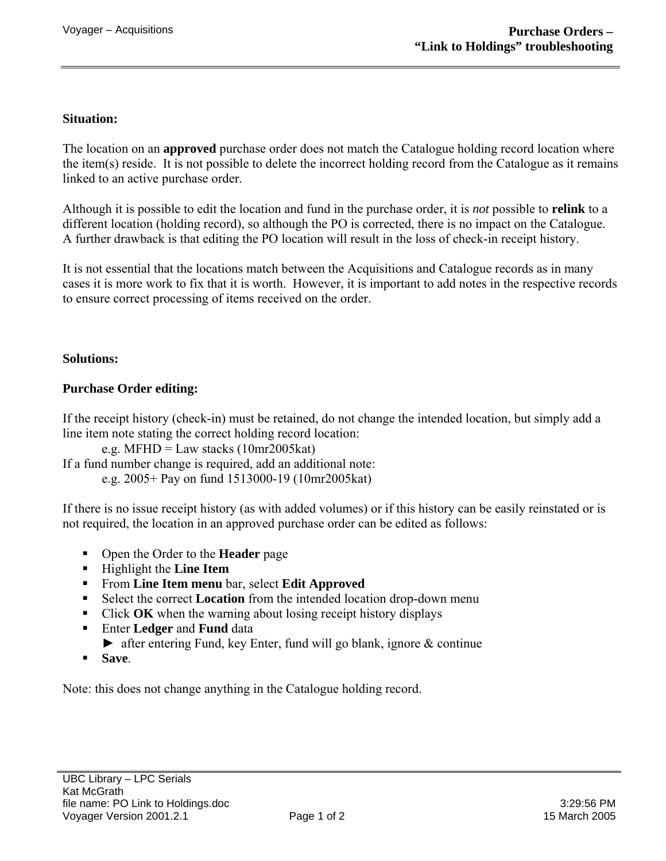## **Situation:**

The location on an **approved** purchase order does not match the Catalogue holding record location where the item(s) reside. It is not possible to delete the incorrect holding record from the Catalogue as it remains linked to an active purchase order.

Although it is possible to edit the location and fund in the purchase order, it is *not* possible to **relink** to a different location (holding record), so although the PO is corrected, there is no impact on the Catalogue. A further drawback is that editing the PO location will result in the loss of check-in receipt history.

It is not essential that the locations match between the Acquisitions and Catalogue records as in many cases it is more work to fix that it is worth. However, it is important to add notes in the respective records to ensure correct processing of items received on the order.

## **Solutions:**

## **Purchase Order editing:**

If the receipt history (check-in) must be retained, do not change the intended location, but simply add a line item note stating the correct holding record location:

e.g. MFHD = Law stacks  $(10mr2005kat)$ 

If a fund number change is required, add an additional note: e.g. 2005+ Pay on fund 1513000-19 (10mr2005kat)

If there is no issue receipt history (as with added volumes) or if this history can be easily reinstated or is not required, the location in an approved purchase order can be edited as follows:

- Open the Order to the **Header** page
- Highlight the **Line Item**
- From **Line Item menu** bar, select **Edit Approved**
- Select the correct **Location** from the intended location drop-down menu
- Click **OK** when the warning about losing receipt history displays
- Enter **Ledger** and **Fund** data
- ► after entering Fund, key Enter, fund will go blank, ignore & continue
- **Save**.

Note: this does not change anything in the Catalogue holding record.